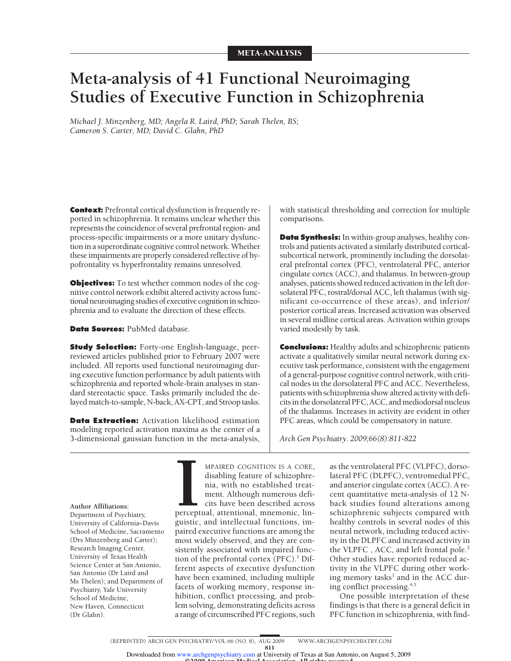# **Meta-analysis of 41 Functional Neuroimaging Studies of Executive Function in Schizophrenia**

*Michael J. Minzenberg, MD; Angela R. Laird, PhD; Sarah Thelen, BS; Cameron S. Carter, MD; David C. Glahn, PhD*

**Context:** Prefrontal cortical dysfunction is frequently reported in schizophrenia. It remains unclear whether this represents the coincidence of several prefrontal region- and process-specific impairments or a more unitary dysfunction in a superordinate cognitive control network.Whether these impairments are properly considered reflective of hypofrontality vs hyperfrontality remains unresolved.

**Objectives:** To test whether common nodes of the cognitive control network exhibit altered activity across functional neuroimaging studies of executive cognition in schizophrenia and to evaluate the direction of these effects.

**Data Sources:** PubMed database.

**Study Selection:** Forty-one English-language, peerreviewed articles published prior to February 2007 were included. All reports used functional neuroimaging during executive function performance by adult patients with schizophrenia and reported whole-brain analyses in standard stereotactic space. Tasks primarily included the delayed match-to-sample, N-back, AX-CPT, and Stroop tasks.

**Data Extraction:** Activation likelihood estimation modeling reported activation maxima as the center of a 3-dimensional gaussian function in the meta-analysis,

with statistical thresholding and correction for multiple comparisons.

**Data Synthesis:** In within-group analyses, healthy controls and patients activated a similarly distributed corticalsubcortical network, prominently including the dorsolateral prefrontal cortex (PFC), ventrolateral PFC, anterior cingulate cortex (ACC), and thalamus. In between-group analyses, patients showed reduced activation in the left dorsolateral PFC, rostral/dorsal ACC, left thalamus (with significant co-occurrence of these areas), and inferior/ posterior cortical areas. Increased activation was observed in several midline cortical areas. Activation within groups varied modestly by task.

**Conclusions:** Healthy adults and schizophrenic patients activate a qualitatively similar neural network during executive task performance, consistent with the engagement of a general-purpose cognitive control network, with critical nodes in the dorsolateral PFC and ACC. Nevertheless, patients with schizophrenia show altered activity with deficits in the dorsolateral PFC, ACC, and mediodorsal nucleus of the thalamus. Increases in activity are evident in other PFC areas, which could be compensatory in nature.

*Arch Gen Psychiatry. 2009;66(8):811-822*

**Author Affiliations:** Department of Psychiatry, University of California–Davis School of Medicine, Sacramento (Drs Minzenberg and Carter); Research Imaging Center, University of Texas Health Science Center at San Antonio, San Antonio (Dr Laird and Ms Thelen); and Department of Psychiatry, Yale University School of Medicine, New Haven, Connecticut (Dr Glahn).

**IPERGENT COGNITION IS A CORE,**<br>disabling feature of schizophre-<br>nia, with no established treat-<br>ment. Although numerous defi-<br>cits have been described across<br>perceptual, attentional, mnemonic, lin-MPAIRED COGNITION IS A CORE, disabling feature of schizophrenia, with no established treatment. Although numerous deficits have been described across guistic, and intellectual functions, impaired executive functions are among the most widely observed, and they are consistently associated with impaired function of the prefrontal cortex  $(PFC)$ .<sup>1</sup> Different aspects of executive dysfunction have been examined, including multiple facets of working memory, response inhibition, conflict processing, and problem solving, demonstrating deficits across a range of circumscribed PFC regions, such

as the ventrolateral PFC (VLPFC), dorsolateral PFC (DLPFC), ventromedial PFC, and anterior cingulate cortex (ACC). A recent quantitative meta-analysis of 12 Nback studies found alterations among schizophrenic subjects compared with healthy controls in several nodes of this neural network, including reduced activity in the DLPFC and increased activity in the VLPFC, ACC, and left frontal pole.<sup>2</sup> Other studies have reported reduced activity in the VLPFC during other working memory tasks<sup>3</sup> and in the ACC during conflict processing.4,5

One possible interpretation of these findings is that there is a general deficit in PFC function in schizophrenia, with find-

©2009 American Medical Association. All rights reserved. Downloaded from www.archgenpsychiatry.com at University of Texas at San Antonio, on August 5, 2009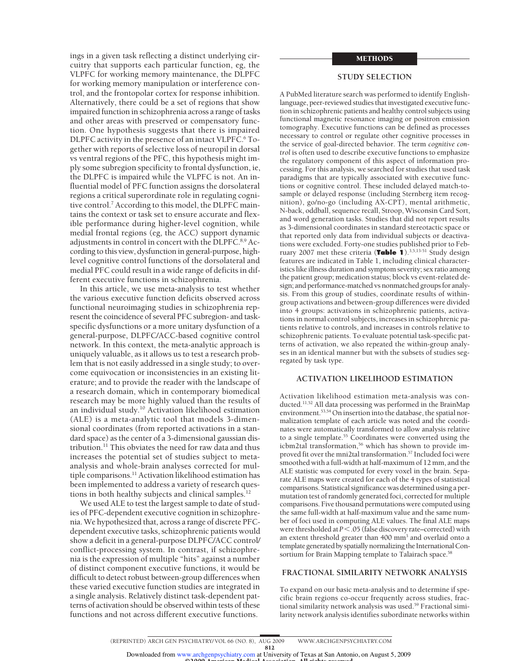ings in a given task reflecting a distinct underlying circuitry that supports each particular function, eg, the VLPFC for working memory maintenance, the DLPFC for working memory manipulation or interference control, and the frontopolar cortex for response inhibition. Alternatively, there could be a set of regions that show impaired function in schizophrenia across a range of tasks and other areas with preserved or compensatory function. One hypothesis suggests that there is impaired DLPFC activity in the presence of an intact VLPFC.<sup>6</sup> Together with reports of selective loss of neuropil in dorsal vs ventral regions of the PFC, this hypothesis might imply some subregion specificity to frontal dysfunction, ie, the DLPFC is impaired while the VLPFC is not. An influential model of PFC function assigns the dorsolateral regions a critical superordinate role in regulating cognitive control.7 According to this model, the DLPFC maintains the context or task set to ensure accurate and flexible performance during higher-level cognition, while medial frontal regions (eg, the ACC) support dynamic adjustments in control in concert with the DLPFC.8,9 According to this view, dysfunction in general-purpose, highlevel cognitive control functions of the dorsolateral and medial PFC could result in a wide range of deficits in different executive functions in schizophrenia.

In this article, we use meta-analysis to test whether the various executive function deficits observed across functional neuroimaging studies in schizophrenia represent the coincidence of several PFC subregion- and taskspecific dysfunctions or a more unitary dysfunction of a general-purpose, DLPFC/ACC-based cognitive control network. In this context, the meta-analytic approach is uniquely valuable, as it allows us to test a research problem that is not easily addressed in a single study; to overcome equivocation or inconsistencies in an existing literature; and to provide the reader with the landscape of a research domain, which in contemporary biomedical research may be more highly valued than the results of an individual study.10 Activation likelihood estimation (ALE) is a meta-analytic tool that models 3-dimensional coordinates (from reported activations in a standard space) as the center of a 3-dimensional gaussian distribution.11 This obviates the need for raw data and thus increases the potential set of studies subject to metaanalysis and whole-brain analyses corrected for multiple comparisons.11 Activation likelihood estimation has been implemented to address a variety of research questions in both healthy subjects and clinical samples.<sup>12</sup>

We used ALE to test the largest sample to date of studies of PFC-dependent executive cognition in schizophrenia. We hypothesized that, across a range of discrete PFCdependent executive tasks, schizophrenic patients would show a deficit in a general-purpose DLPFC/ACC control/ conflict-processing system. In contrast, if schizophrenia is the expression of multiple "hits" against a number of distinct component executive functions, it would be difficult to detect robust between-group differences when these varied executive function studies are integrated in a single analysis. Relatively distinct task-dependent patterns of activation should be observed within tests of these functions and not across different executive functions.

# METHODS

# **STUDY SELECTION**

A PubMed literature search was performed to identify Englishlanguage, peer-reviewed studies that investigated executive function in schizophrenic patients and healthy control subjects using functional magnetic resonance imaging or positron emission tomography. Executive functions can be defined as processes necessary to control or regulate other cognitive processes in the service of goal-directed behavior. The term *cognitive control* is often used to describe executive functions to emphasize the regulatory component of this aspect of information processing. For this analysis, we searched for studies that used task paradigms that are typically associated with executive functions or cognitive control. These included delayed match-tosample or delayed response (including Sternberg item recognition), go/no-go (including AX-CPT), mental arithmetic, N-back, oddball, sequence recall, Stroop, Wisconsin Card Sort, and word generation tasks. Studies that did not report results as 3-dimensional coordinates in standard stereotactic space or that reported only data from individual subjects or deactivations were excluded. Forty-one studies published prior to February 2007 met these criteria (**Table 1**).3,5,13-51 Study design features are indicated in Table 1, including clinical characteristics like illness duration and symptom severity; sex ratio among the patient group; medication status; block vs event-related design; and performance-matched vs nonmatched groups for analysis. From this group of studies, coordinate results of withingroup activations and between-group differences were divided into 4 groups: activations in schizophrenic patients, activations in normal control subjects, increases in schizophrenic patients relative to controls, and increases in controls relative to schizophrenic patients. To evaluate potential task-specific patterns of activation, we also repeated the within-group analyses in an identical manner but with the subsets of studies segregated by task type.

## **ACTIVATION LIKELIHOOD ESTIMATION**

Activation likelihood estimation meta-analysis was conducted.11,52 All data processing was performed in the BrainMap environment.<sup>53,54</sup> On insertion into the database, the spatial normalization template of each article was noted and the coordinates were automatically transformed to allow analysis relative to a single template.<sup>55</sup> Coordinates were converted using the icbm2tal transformation,<sup>56</sup> which has shown to provide improved fit over the mni2tal transformation.<sup>57</sup> Included foci were smoothed with a full-width at half-maximum of 12 mm, and the ALE statistic was computed for every voxel in the brain. Separate ALE maps were created for each of the 4 types of statistical comparisons. Statistical significance was determined using a permutation test of randomly generated foci, corrected for multiple comparisons. Five thousand permutations were computed using the same full-width at half-maximum value and the same number of foci used in computing ALE values. The final ALE maps were thresholded at  $P$  < .05 (false discovery rate–corrected) with an extent threshold greater than 400 mm3 and overlaid onto a template generated by spatially normalizing the International Consortium for Brain Mapping template to Talairach space.<sup>58</sup>

# **FRACTIONAL SIMILARITY NETWORK ANALYSIS**

To expand on our basic meta-analysis and to determine if specific brain regions co-occur frequently across studies, fractional similarity network analysis was used.<sup>59</sup> Fractional similarity network analysis identifies subordinate networks within

Downloaded from www.archgenpsychiatry.com at University of Texas at San Antonio, on August 5, 2009

©2009 American Medical Association. All rights reserved.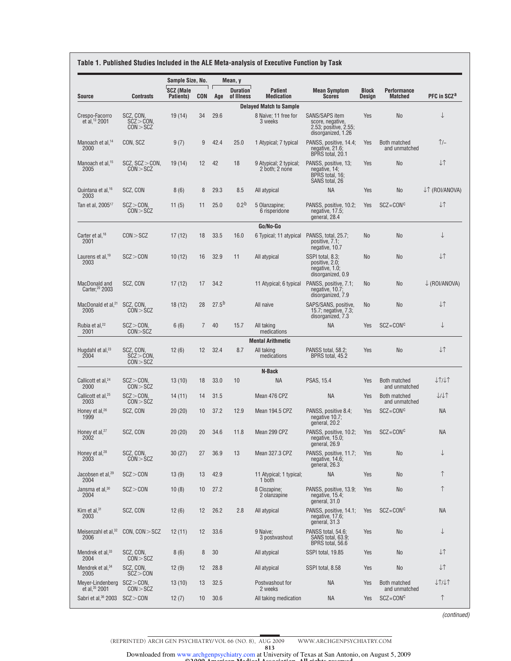|                                             |                                         | Sample Size, No.              |                |                   | Mean, y                       |                                          |                                                                                          |                               |                               |                               |
|---------------------------------------------|-----------------------------------------|-------------------------------|----------------|-------------------|-------------------------------|------------------------------------------|------------------------------------------------------------------------------------------|-------------------------------|-------------------------------|-------------------------------|
| <b>Source</b>                               | <b>Contrasts</b>                        | <b>SCZ (Male</b><br>Patients) | CON            | Age               | <b>Duration</b><br>of Illness | <b>Patient</b><br><b>Medication</b>      | <b>Mean Symptom</b><br><b>Scores</b>                                                     | <b>Block</b><br><b>Design</b> | Performance<br><b>Matched</b> | PFC in SCZ <sup>a</sup>       |
|                                             |                                         |                               |                |                   |                               | <b>Delayed Match to Sample</b>           |                                                                                          |                               |                               |                               |
| Crespo-Facorro<br>et al, <sup>13</sup> 2001 | SCZ, CON,<br>$SCZ > CON$ .<br>CON > SCZ | 19(14)                        | 34             | 29.6              |                               | 8 Naive; 11 free for<br>3 weeks          | <b>SANS/SAPS item</b><br>score, negative.<br>2.53; positive, 2.55;<br>disorganized, 1.26 | Yes                           | <b>No</b>                     | ↓                             |
| Manoach et al. <sup>14</sup><br>2000        | CON. SCZ                                | 9(7)                          | 9              | 42.4              | 25.0                          | 1 Atypical; 7 typical                    | PANSS, positive, 14.4;<br>negative, $21.6$ ;<br>BPRS total, 20.1                         | Yes                           | Both matched<br>and unmatched | ↑⁄−                           |
| Manoach et al. <sup>15</sup><br>2005        | SCZ, SCZ > CON<br>CON > SCZ             | 19(14)                        | 12             | 42                | 18                            | 9 Atypical; 2 typical;<br>2 both; 2 none | PANSS, positive, 13;<br>negative, 14;<br>BPRS total, 16;<br>SANS total, 26               | Yes                           | No                            | ↓↑                            |
| Quintana et al, <sup>16</sup><br>2003       | SCZ, CON                                | 8(6)                          | 8              | 29.3              | 8.5                           | All atypical                             | <b>NA</b>                                                                                | Yes                           | No                            | ↓↑ (ROI/ANOVA)                |
| Tan et al, 2005 <sup>17</sup>               | SCZ > CON<br>CON > SCZ                  | 11(5)                         | 11             | 25.0              | $0.2^{b}$                     | 5 Olanzapine;<br>6 risperidone           | PANSS, positive, 10.2;<br>negative, $17.5$ ;<br>general, 28.4                            | Yes                           | $SCZ = CONC$                  | <b>J</b>                      |
|                                             |                                         |                               |                |                   |                               | Go/No-Go                                 |                                                                                          |                               |                               |                               |
| Carter et al. <sup>18</sup><br>2001         | CON > SCZ                               | 17(12)                        | 18             | 33.5              | 16.0                          | 6 Typical; 11 atypical                   | PANSS, total, 25.7;<br>positive, 7.1;<br>negative, 10.7                                  | <b>No</b>                     | <b>No</b>                     | $\downarrow$                  |
| Laurens et al, <sup>19</sup><br>2003        | SCZ > CON                               | 10(12)                        | 16             | 32.9              | 11                            | All atypical                             | SSPI total, 8.3;<br>positive, 2.0;<br>negative, 1.0;<br>disorganized, 0.9                | <b>No</b>                     | <b>No</b>                     | ↓↑                            |
| MacDonald and<br>Carter, <sup>20</sup> 2003 | SCZ, CON                                | 17(12)                        | 17             | 34.2              |                               | 11 Atypical; 6 typical                   | PANSS, positive, 7.1;<br>negative, 10.7;<br>disorganized, 7.9                            | No.                           | <b>No</b>                     | $\downarrow$ (ROI/ANOVA)      |
| MacDonald et al. <sup>21</sup><br>2005      | SCZ, CON,<br>CON > SCZ                  | 18(12)                        | 28             | 27.5 <sup>b</sup> |                               | All naive                                | SAPS/SANS, positive,<br>15.7; negative, $7.3$ ;<br>disorganized, 7.3                     | No.                           | No                            | $\downarrow \uparrow$         |
| Rubia et al, <sup>22</sup><br>2001          | $SCZ > CON$ .<br>CON > SCZ              | 6(6)                          | $\overline{7}$ | 40                | 15.7                          | All taking<br>medications                | <b>NA</b>                                                                                | Yes                           | $SCZ = CONc$                  | $\downarrow$                  |
|                                             |                                         |                               |                |                   |                               | <b>Mental Arithmetic</b>                 |                                                                                          |                               |                               |                               |
| Hugdahl et al, <sup>23</sup><br>2004        | SCZ, CON,<br>$SCZ > CON$ ,<br>CON > SCZ | 12(6)                         | 12             | 32.4              | 8.7                           | All taking<br>medications                | PANSS total, 58.2;<br>BPRS total, 45.2                                                   | Yes                           | No                            | $\downarrow \uparrow$         |
|                                             |                                         |                               |                |                   |                               | N-Back                                   |                                                                                          |                               |                               |                               |
| Callicott et al, <sup>24</sup><br>2000      | SCZ > CON<br>CON > SCZ                  | 13(10)                        | 18             | 33.0              | 10                            | <b>NA</b>                                | <b>PSAS, 15.4</b>                                                                        | Yes                           | Both matched<br>and unmatched | $l$ $\uparrow$ $l$ $\uparrow$ |
| Callicott et al. <sup>25</sup><br>2003      | $SCZ > CON$ .<br>CON > SCZ              | 14 (11)                       | 14             | 31.5              |                               | Mean 476 CPZ                             | <b>NA</b>                                                                                | Yes                           | Both matched<br>and unmatched | ↓/↓↑                          |
| Honey et al, <sup>26</sup><br>1999          | SCZ, CON                                | 20(20)                        | 10             | 37.2              | 12.9                          | Mean 194.5 CPZ                           | PANSS, positive 8.4;<br>negative 10.7;<br>general, 20.2                                  | Yes                           | $SCZ = CONc$                  | <b>NA</b>                     |
| Honey et al, <sup>27</sup><br>2002          | SCZ, CON                                | 20 (20)                       | 20             | 34.6              | 11.8                          | Mean 299 CPZ                             | PANSS, positive, 10.2;<br>negative, 15.0;<br>general, 26.9                               | Yes                           | $SCZ = CONc$                  | NА                            |
| Honey et al. <sup>28</sup><br>2003          | SCZ, CON,<br>CON > SCZ                  | 30(27)                        | 27             | 36.9              | 13                            | Mean 327.3 CPZ                           | PANSS, positive, 11.7;<br>negative, 14.6;<br>general, 26.3                               | Yes                           | No                            | ↓                             |
| Jacobsen et al, <sup>29</sup><br>2004       | SCZ > CON                               | 13(9)                         | 13             | 42.9              |                               | 11 Atypical; 1 typical;<br>1 both        | ΝA                                                                                       | Yes                           | No                            | $\uparrow$                    |
| Jansma et al, <sup>30</sup><br>2004         | SCZ > CON                               | 10(8)                         | 10             | 27.2              |                               | 8 Clozapine;<br>2 olanzapine             | PANSS, positive, 13.9;<br>negative, $15.4$ ;<br>general, 31.0                            | Yes                           | No                            | $\uparrow$                    |
| Kim et al, $31$<br>2003                     | SCZ, CON                                | 12(6)                         | 12             | 26.2              | 2.8                           | All atypical                             | PANSS, positive, 14.1;<br>negative, $17.6$ ;<br>general, 31.3                            | Yes                           | $SCZ = CONc$                  | <b>NA</b>                     |
| Meisenzahl et al, <sup>32</sup><br>2006     | CON, CON > SCZ                          | 12(11)                        | 12             | 33.6              |                               | 9 Naive:<br>3 postwashout                | PANSS total, 54.6;<br>SANS total, 63.9;<br>BPRS total, 56.6                              | Yes                           | No                            | ↓                             |
| Mendrek et al, <sup>33</sup><br>2004        | SCZ, CON,<br>CON > SCZ                  | 8(6)                          | 8              | 30                |                               | All atypical                             | SSPI total, 19.85                                                                        | Yes                           | No                            | ↓↑                            |
| Mendrek et al, 34<br>2005                   | SCZ, CON,<br>SCZ > CON                  | 12(9)                         | 12             | 28.8              |                               | All atypical                             | SSPI total, 8.58                                                                         | Yes                           | No                            | $\downarrow\uparrow$          |
| Meyer-Lindenberg<br>et al, $35$ 2001        | $SCZ > CON$ ,<br>CON > SCZ              | 13(10)                        | 13             | 32.5              |                               | Postwashout for<br>2 weeks               | NА                                                                                       | Yes                           | Both matched<br>and unmatched | $l$ 1/11                      |
| Sabri et al, <sup>36</sup> 2003 SCZ > CON   |                                         | 12(7)                         | 10             | 30.6              |                               | All taking medication                    | NA                                                                                       | Yes                           | $SCZ = CONc$                  | $\uparrow$                    |

(continued)

813 ©2009 American Medical Association. All rights reserved. Downloaded from www.archgenpsychiatry.com at University of Texas at San Antonio, on August 5, 2009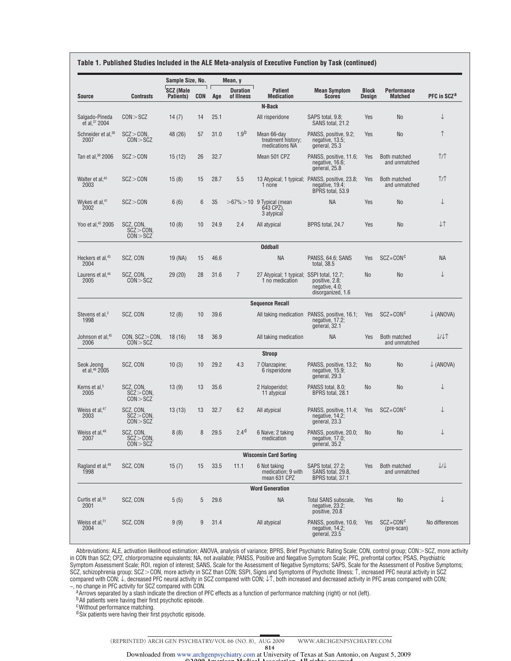|                                      |                                         | Sample Size, No.              |            |      | Mean, y                       |                                                              |                                                                                          |                        |                                      |                         |
|--------------------------------------|-----------------------------------------|-------------------------------|------------|------|-------------------------------|--------------------------------------------------------------|------------------------------------------------------------------------------------------|------------------------|--------------------------------------|-------------------------|
| Source                               | <b>Contrasts</b>                        | <b>SCZ (Male</b><br>Patients) | <b>CON</b> | Age  | <b>Duration</b><br>of Illness | <b>Patient</b><br><b>Medication</b>                          | <b>Mean Symptom</b><br><b>Scores</b>                                                     | <b>Block</b><br>Design | <b>Performance</b><br><b>Matched</b> | PFC in SCZ <sup>a</sup> |
|                                      |                                         |                               |            |      |                               | N-Back                                                       |                                                                                          |                        |                                      |                         |
| Salgado-Pineda<br>et al, 37 2004     | CON > SCZ                               | 14 $(7)$                      | 14         | 25.1 |                               | All risperidone                                              | SAPS total, 9.8;<br>SANS total, 21.2                                                     | Yes                    | No                                   | ↓                       |
| Schneider et al, 38<br>2007          | SCZ > CON<br>CON > SCZ                  | 48 (26)                       | 57         | 31.0 | 1.9 <sup>b</sup>              | Mean 66-day<br>treatment history;<br>medications NA          | PANSS, positive, 9.2;<br>negative, 13.5;<br>general, 25.3                                | Yes                    | No                                   | $\uparrow$              |
| Tan et al, 39 2006                   | SCZ > CON                               | 15(12)                        | 26         | 32.7 |                               | Mean 501 CPZ                                                 | PANSS, positive, 11.6;<br>negative, 16.6;<br>general, 25.8                               | Yes                    | Both matched<br>and unmatched        | 1/1                     |
| Walter et al, <sup>40</sup><br>2003  | SCZ > CON                               | 15(8)                         | 15         | 28.7 | 5.5                           | 1 none                                                       | 13 Atypical; 1 typical; PANSS, positive, 23.8;<br>negative, $19.4$ ;<br>BPRS total, 53.9 | Yes                    | Both matched<br>and unmatched        | $\uparrow$ / $\uparrow$ |
| Wykes et al, <sup>41</sup><br>2002   | SCZ > CON                               | 6(6)                          | 6          | 35   |                               | $>67\%$ > 10 9 Typical (mean<br>643 CPZ).<br>3 atypical      | <b>NA</b>                                                                                | Yes                    | <b>No</b>                            | ↓                       |
| Yoo et al, <sup>42</sup> 2005        | SCZ, CON,<br>SCZ > CON<br>CON > SCZ     | 10(8)                         | 10         | 24.9 | 2.4                           | All atypical                                                 | BPRS total, 24.7                                                                         | Yes                    | No                                   | ↓↑                      |
|                                      |                                         |                               |            |      |                               | <b>Oddball</b>                                               |                                                                                          |                        |                                      |                         |
| Heckers et al, <sup>43</sup><br>2004 | SCZ, CON                                | 19 (NA)                       | 15         | 46.6 |                               | <b>NA</b>                                                    | PANSS, 64.6; SANS<br>total, 38.5                                                         | Yes                    | $SCZ = CONC$                         | <b>NA</b>               |
| Laurens et al, <sup>44</sup><br>2005 | SCZ, CON,<br>CON > SCZ                  | 29(20)                        | 28         | 31.6 | $\overline{7}$                | 27 Atypical; 1 typical; SSPI total, 12.7;<br>1 no medication | positive. 2.8:<br>negative, 4.0;<br>disorganized, 1.6                                    | <b>No</b>              | No                                   | ↓                       |
|                                      |                                         |                               |            |      |                               | <b>Sequence Recall</b>                                       |                                                                                          |                        |                                      |                         |
| Stevens et al, <sup>3</sup><br>1998  | SCZ, CON                                | 12(8)                         | 10         | 39.6 |                               | All taking medication                                        | PANSS, positive, 16.1;<br>negative, $17.2$ ;<br>general, 32.1                            | Yes                    | $SCZ = CONc$                         | $\downarrow$ (ANOVA)    |
| Johnson et al, 45<br>2006            | CON, SCZ > CON,<br>CON > SCZ            | 18(16)                        | 18         | 36.9 |                               | All taking medication                                        | ΝA                                                                                       | Yes                    | Both matched<br>and unmatched        | VII                     |
|                                      |                                         |                               |            |      |                               | <b>Stroop</b>                                                |                                                                                          |                        |                                      |                         |
| Seok Jeong<br>et al, 46 2005         | SCZ, CON                                | 10(3)                         | 10         | 29.2 | 4.3                           | 7 Olanzapine;<br>6 risperidone                               | PANSS, positive, 13.2;<br>negative, $15.9$ ;<br>general, 29.3                            | <b>No</b>              | <b>No</b>                            | $\downarrow$ (ANOVA)    |
| Kerns et al, <sup>5</sup><br>2005    | SCZ, CON,<br>$SCZ > CON$ .<br>CON > SCZ | 13(9)                         | 13         | 35.6 |                               | 2 Haloperidol;<br>11 atypical                                | PANSS total, 8.0;<br>BPRS total, 28.1                                                    | <b>No</b>              | No                                   | ↓                       |
| Weiss et al. <sup>47</sup><br>2003   | SCZ, CON.<br>SCZ > CON<br>CON > SCZ     | 13(13)                        | 13         | 32.7 | 6.2                           | All atypical                                                 | PANSS, positive, 11.4;<br>negative, $14.2$ ;<br>general, 23.3                            | Yes                    | $SCZ = CONC$                         | ↓                       |
| Weiss et al, <sup>48</sup><br>2007   | SCZ, CON,<br>$SCZ > CON$ ,<br>CON > SCZ | 8(8)                          | 8          | 29.5 | 2.4 <sup>d</sup>              | 6 Naive; 2 taking<br>medication                              | PANSS, positive, 20.0;<br>negative, 17.0;<br>general, 35.2                               | No                     | No                                   | ↓                       |
|                                      |                                         |                               |            |      |                               | <b>Wisconsin Card Sorting</b>                                |                                                                                          |                        |                                      |                         |
| Ragland et al, <sup>49</sup><br>1998 | SCZ, CON                                | 15(7)                         | 15         | 33.5 | 11.1                          | 6 Not taking<br>medication; 9 with<br>mean 631 CPZ           | SAPS total, 27.2;<br>SANS total, 29.8,<br>BPRS total, 37.1                               | Yes                    | Both matched<br>and unmatched        | $\downarrow/\downarrow$ |
|                                      |                                         |                               |            |      |                               | <b>Word Generation</b>                                       |                                                                                          |                        |                                      |                         |
| Curtis et al, <sup>50</sup><br>2001  | SCZ. CON                                | 5(5)                          | 5          | 29.6 |                               | <b>NA</b>                                                    | Total SANS subscale,<br>negative, $23.2$ ;<br>positive, 20.8                             | Yes                    | No                                   | $\downarrow$            |
| Weiss et al, <sup>51</sup><br>2004   | SCZ, CON                                | 9(9)                          | 9          | 31.4 |                               | All atypical                                                 | PANSS, positive, 10.6;<br>negative, 14.2;<br>general, 23.5                               | Yes                    | $SCZ = CONc$<br>(pre-scan)           | No differences          |

Abbreviations: ALE, activation likelihood estimation; ANOVA, analysis of variance; BPRS, Brief Psychiatric Rating Scale; CON, control group; CON>SCZ, more activity in CON than SCZ; CPZ, chlorpromazine equivalents; NA, not available; PANSS, Positive and Negative Symptom Scale; PFC, prefrontal cortex; PSAS, Psychiatric Symptom Assessment Scale; ROI, region of interest; SANS, Scale for the Assessment of Negative Symptoms; SAPS, Scale for the Assessment of Positive Symptoms; SCZ, schizophrenia group; SCZ>CON, more activity in SCZ than CON; SSPI, Signs and Symptoms of Psychotic Illness; ↑, increased PFC neural activity in SCZ compared with CON; ↓, decreased PFC neural activity in SCZ compared with CON; ↓↑, both increased and decreased activity in PFC areas compared with CON; −, no change in PFC activity for SCZ compared with CON.

a Arrows separated by a slash indicate the direction of PFC effects as a function of performance matching (right) or not (left).

<sup>b</sup>All patients were having their first psychotic episode.

cWithout performance matching.

d Six patients were having their first psychotic episode.

(REPRINTED) ARCH GEN PSYCHIATRY/ VOL 66 (NO. 8), AUG 2009 WWW.ARCHGENPSYCHIATRY.COM

©2009 American Medical Association. All rights reserved. Downloaded from www.archgenpsychiatry.com at University of Texas at San Antonio, on August 5, 2009

814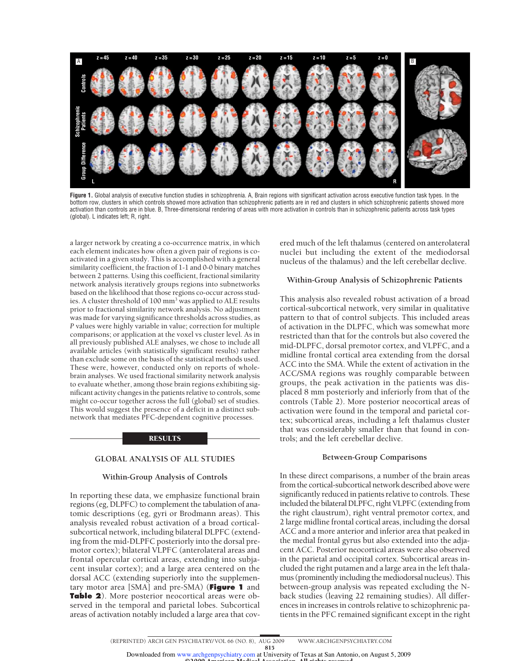

**Figure 1.** Global analysis of executive function studies in schizophrenia. A, Brain regions with significant activation across executive function task types. In the bottom row, clusters in which controls showed more activation than schizophrenic patients are in red and clusters in which schizophrenic patients showed more activation than controls are in blue. B, Three-dimensional rendering of areas with more activation in controls than in schizophrenic patients across task types (global). L indicates left; R, right.

a larger network by creating a co-occurrence matrix, in which each element indicates how often a given pair of regions is coactivated in a given study. This is accomplished with a general similarity coefficient, the fraction of 1-1 and 0-0 binary matches between 2 patterns. Using this coefficient, fractional similarity network analysis iteratively groups regions into subnetworks based on the likelihood that those regions co-occur across studies. A cluster threshold of 100 mm<sup>3</sup> was applied to ALE results prior to fractional similarity network analysis. No adjustment was made for varying significance thresholds across studies, as *P* values were highly variable in value; correction for multiple comparisons; or application at the voxel vs cluster level. As in all previously published ALE analyses, we chose to include all available articles (with statistically significant results) rather than exclude some on the basis of the statistical methods used. These were, however, conducted only on reports of wholebrain analyses. We used fractional similarity network analysis to evaluate whether, among those brain regions exhibiting significant activity changes in the patients relative to controls, some might co-occur together across the full (global) set of studies. This would suggest the presence of a deficit in a distinct subnetwork that mediates PFC-dependent cognitive processes.

#### RESULTS

# **GLOBAL ANALYSIS OF ALL STUDIES**

### **Within-Group Analysis of Controls**

In reporting these data, we emphasize functional brain regions (eg, DLPFC) to complement the tabulation of anatomic descriptions (eg, gyri or Brodmann areas). This analysis revealed robust activation of a broad corticalsubcortical network, including bilateral DLPFC (extending from the mid-DLPFC posteriorly into the dorsal premotor cortex); bilateral VLPFC (anterolateral areas and frontal opercular cortical areas, extending into subjacent insular cortex); and a large area centered on the dorsal ACC (extending superiorly into the supplementary motor area [SMA] and pre-SMA) (**Figure 1** and **Table 2**). More posterior neocortical areas were observed in the temporal and parietal lobes. Subcortical areas of activation notably included a large area that covered much of the left thalamus (centered on anterolateral nuclei but including the extent of the mediodorsal nucleus of the thalamus) and the left cerebellar declive.

# **Within-Group Analysis of Schizophrenic Patients**

This analysis also revealed robust activation of a broad cortical-subcortical network, very similar in qualitative pattern to that of control subjects. This included areas of activation in the DLPFC, which was somewhat more restricted than that for the controls but also covered the mid-DLPFC, dorsal premotor cortex, and VLPFC, and a midline frontal cortical area extending from the dorsal ACC into the SMA. While the extent of activation in the ACC/SMA regions was roughly comparable between groups, the peak activation in the patients was displaced 8 mm posteriorly and inferiorly from that of the controls (Table 2). More posterior neocortical areas of activation were found in the temporal and parietal cortex; subcortical areas, including a left thalamus cluster that was considerably smaller than that found in controls; and the left cerebellar declive.

#### **Between-Group Comparisons**

In these direct comparisons, a number of the brain areas from the cortical-subcortical network described above were significantly reduced in patients relative to controls. These included the bilateral DLPFC, right VLPFC (extending from the right claustrum), right ventral premotor cortex, and 2 large midline frontal cortical areas, including the dorsal ACC and a more anterior and inferior area that peaked in the medial frontal gyrus but also extended into the adjacent ACC. Posterior neocortical areas were also observed in the parietal and occipital cortex. Subcortical areas included the right putamen and a large area in the left thalamus (prominently including the mediodorsal nucleus). This between-group analysis was repeated excluding the Nback studies (leaving 22 remaining studies). All differences in increases in controls relative to schizophrenic patients in the PFC remained significant except in the right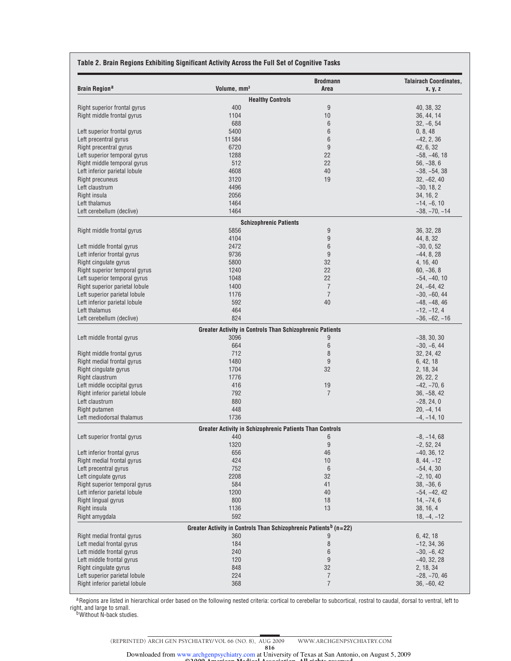### **Table 2. Brain Regions Exhibiting Significant Activity Across the Full Set of Cognitive Tasks**

| <b>Brain Region<sup>a</sup></b> | Volume, mm <sup>3</sup>                                                      | <b>Brodmann</b><br>Area | <b>Talairach Coordinates,</b><br>x, y, z |
|---------------------------------|------------------------------------------------------------------------------|-------------------------|------------------------------------------|
|                                 | <b>Healthy Controls</b>                                                      |                         |                                          |
| Right superior frontal gyrus    | 400                                                                          | 9                       | 40, 38, 32                               |
| Right middle frontal gyrus      | 1104                                                                         | 10                      | 36, 44, 14                               |
|                                 | 688                                                                          | $6\phantom{1}6$         | $32, -6, 54$                             |
| Left superior frontal gyrus     | 5400                                                                         | 6                       | 0, 8, 48                                 |
| Left precentral gyrus           | 11584                                                                        | 6                       | $-42, 2, 36$                             |
| Right precentral gyrus          | 6720                                                                         | 9                       | 42, 6, 32                                |
| Left superior temporal gyrus    | 1288                                                                         | 22                      | $-58, -46, 18$                           |
| Right middle temporal gyrus     | 512                                                                          | 22                      | $56, -38, 6$                             |
| Left inferior parietal lobule   | 4608                                                                         | 40                      | $-38, -54, 38$                           |
| <b>Right precuneus</b>          | 3120                                                                         | 19                      | $32, -62, 40$                            |
| Left claustrum                  | 4496                                                                         |                         | $-30, 18, 2$                             |
| Right insula                    | 2056                                                                         |                         | 34, 16, 2                                |
| Left thalamus                   | 1464                                                                         |                         | $-14, -6, 10$                            |
| Left cerebellum (declive)       | 1464                                                                         |                         | $-38, -70, -14$                          |
|                                 | <b>Schizophrenic Patients</b>                                                |                         |                                          |
| Right middle frontal gyrus      | 5856                                                                         | 9                       | 36, 32, 28                               |
|                                 | 4104                                                                         | 9                       | 44, 8, 32                                |
| Left middle frontal gyrus       | 2472                                                                         | 6                       | $-30, 0, 52$                             |
| Left inferior frontal gyrus     | 9736                                                                         | 9                       | $-44, 8, 28$                             |
| Right cingulate gyrus           | 5800                                                                         | 32                      | 4, 16, 40                                |
| Right superior temporal gyrus   | 1240                                                                         | 22                      | $60, -36, 8$                             |
| Left superior temporal gyrus    | 1048                                                                         | 22                      | $-54, -40, 10$                           |
| Right superior parietal lobule  | 1400                                                                         | $\overline{7}$          | $24, -64, 42$                            |
| Left superior parietal lobule   | 1176                                                                         | $\overline{7}$          | $-30, -60, 44$                           |
| Left inferior parietal lobule   | 592                                                                          | 40                      | $-48, -48, 46$                           |
| Left thalamus                   | 464                                                                          |                         | $-12, -12, 4$                            |
| Left cerebellum (declive)       | 824                                                                          |                         | $-36, -62, -16$                          |
|                                 |                                                                              |                         |                                          |
| Left middle frontal gyrus       | <b>Greater Activity in Controls Than Schizophrenic Patients</b><br>3096      | 9                       | $-38, 30, 30$                            |
|                                 | 664                                                                          | $\,6\,$                 | $-30, -6, 44$                            |
| Right middle frontal gyrus      | 712                                                                          | 8                       | 32, 24, 42                               |
|                                 | 1480                                                                         | $9\,$                   |                                          |
| Right medial frontal gyrus      |                                                                              |                         | 6, 42, 18                                |
| Right cingulate gyrus           | 1704                                                                         | 32                      | 2, 18, 34                                |
| Right claustrum                 | 1776                                                                         |                         | 26, 22, 2                                |
| Left middle occipital gyrus     | 416                                                                          | 19                      | $-42, -70, 6$                            |
| Right inferior parietal lobule  | 792                                                                          | $\overline{7}$          | $36, -58, 42$                            |
| Left claustrum                  | 880                                                                          |                         | $-28, 24, 0$                             |
| Right putamen                   | 448                                                                          |                         | $20, -4, 14$                             |
| Left mediodorsal thalamus       | 1736                                                                         |                         | $-4, -14, 10$                            |
|                                 | <b>Greater Activity in Schizophrenic Patients Than Controls</b>              |                         |                                          |
| Left superior frontal gyrus     | 440                                                                          | 6                       | $-8, -14, 68$                            |
|                                 | 1320                                                                         | $9\,$                   | $-2, 52, 24$                             |
| Left inferior frontal gyrus     | 656                                                                          | 46                      | $-40, 36, 12$                            |
| Right medial frontal gyrus      | 424                                                                          | 10                      | $8, 44, -12$                             |
| Left precentral gyrus           | 752                                                                          | $\,6\,$                 | $-54, 4, 30$                             |
| Left cingulate gyrus            | 2208                                                                         | 32                      | $-2, 10, 40$                             |
| Right superior temporal gyrus   | 584                                                                          | 41                      | $38, -36, 6$                             |
| Left inferior parietal lobule   | 1200                                                                         | 40                      | $-54, -42, 42$                           |
| Right lingual gyrus             | 800                                                                          | 18                      | $14, -74, 6$                             |
| Right insula                    | 1136                                                                         | 13                      | 38, 16, 4                                |
| Right amygdala                  | 592                                                                          |                         | $18, -4, -12$                            |
|                                 | Greater Activity in Controls Than Schizophrenic Patients <sup>b</sup> (n=22) |                         |                                          |
| Right medial frontal gyrus      | 360                                                                          | 9                       | 6, 42, 18                                |
| Left medial frontal gyrus       | 184                                                                          | $\, 8$                  | $-12, 34, 36$                            |
| Left middle frontal gyrus       | 240                                                                          | $\,6\,$                 | $-30, -6, 42$                            |
| Left middle frontal gyrus       | 120                                                                          | 9                       | $-40, 32, 28$                            |
| Right cingulate gyrus           | 848                                                                          | 32                      | 2, 18, 34                                |
| Left superior parietal lobule   | 224                                                                          | $\overline{7}$          | $-28, -70, 46$                           |
| Right inferior parietal lobule  | 368                                                                          | $\overline{7}$          | $36, -60, 42$                            |
|                                 |                                                                              |                         |                                          |

aRegions are listed in hierarchical order based on the following nested criteria: cortical to cerebellar to subcortical, rostral to caudal, dorsal to ventral, left to right, and large to small.<br><sup>b</sup>Without N-back studies.

©2009 American Medical Association. All rights reserved. Downloaded from www.archgenpsychiatry.com at University of Texas at San Antonio, on August 5, 2009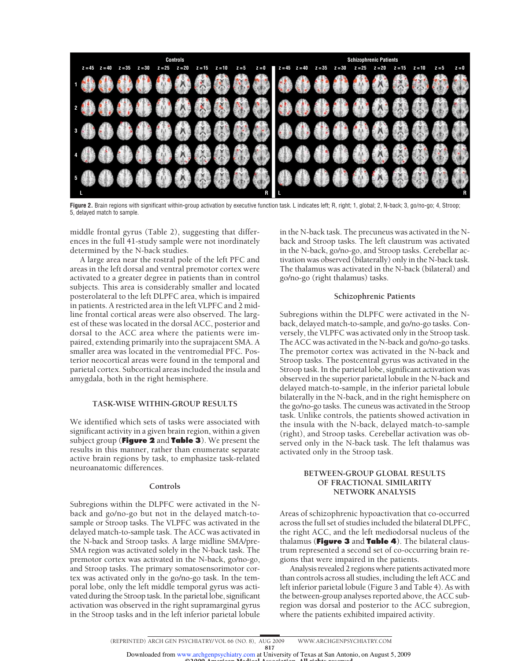

**Figure 2.** Brain regions with significant within-group activation by executive function task. L indicates left; R, right; 1, global; 2, N-back; 3, go/no-go; 4, Stroop; 5, delayed match to sample.

middle frontal gyrus (Table 2), suggesting that differences in the full 41-study sample were not inordinately determined by the N-back studies.

A large area near the rostral pole of the left PFC and areas in the left dorsal and ventral premotor cortex were activated to a greater degree in patients than in control subjects. This area is considerably smaller and located posterolateral to the left DLPFC area, which is impaired in patients. A restricted area in the left VLPFC and 2 midline frontal cortical areas were also observed. The largest of these was located in the dorsal ACC, posterior and dorsal to the ACC area where the patients were impaired, extending primarily into the suprajacent SMA. A smaller area was located in the ventromedial PFC. Posterior neocortical areas were found in the temporal and parietal cortex. Subcortical areas included the insula and amygdala, both in the right hemisphere.

# **TASK-WISE WITHIN-GROUP RESULTS**

We identified which sets of tasks were associated with significant activity in a given brain region, within a given subject group (**Figure 2** and **Table 3**). We present the results in this manner, rather than enumerate separate active brain regions by task, to emphasize task-related neuroanatomic differences.

#### **Controls**

Subregions within the DLPFC were activated in the Nback and go/no-go but not in the delayed match-tosample or Stroop tasks. The VLPFC was activated in the delayed match-to-sample task. The ACC was activated in the N-back and Stroop tasks. A large midline SMA/pre-SMA region was activated solely in the N-back task. The premotor cortex was activated in the N-back, go/no-go, and Stroop tasks. The primary somatosensorimotor cortex was activated only in the go/no-go task. In the temporal lobe, only the left middle temporal gyrus was activated during the Stroop task. In the parietal lobe, significant activation was observed in the right supramarginal gyrus in the Stroop tasks and in the left inferior parietal lobule

in the N-back task. The precuneus was activated in the Nback and Stroop tasks. The left claustrum was activated in the N-back, go/no-go, and Stroop tasks. Cerebellar activation was observed (bilaterally) only in the N-back task. The thalamus was activated in the N-back (bilateral) and go/no-go (right thalamus) tasks.

## **Schizophrenic Patients**

Subregions within the DLPFC were activated in the Nback, delayed match-to-sample, and go/no-go tasks. Conversely, the VLPFC was activated only in the Stroop task. The ACC was activated in the N-back and go/no-go tasks. The premotor cortex was activated in the N-back and Stroop tasks. The postcentral gyrus was activated in the Stroop task. In the parietal lobe, significant activation was observed in the superior parietal lobule in the N-back and delayed match-to-sample, in the inferior parietal lobule bilaterally in the N-back, and in the right hemisphere on the go/no-go tasks. The cuneus was activated in the Stroop task. Unlike controls, the patients showed activation in the insula with the N-back, delayed match-to-sample (right), and Stroop tasks. Cerebellar activation was observed only in the N-back task. The left thalamus was activated only in the Stroop task.

# **BETWEEN-GROUP GLOBAL RESULTS OF FRACTIONAL SIMILARITY NETWORK ANALYSIS**

Areas of schizophrenic hypoactivation that co-occurred across the full set of studies included the bilateral DLPFC, the right ACC, and the left mediodorsal nucleus of the thalamus (**Figure 3** and **Table 4**). The bilateral claustrum represented a second set of co-occurring brain regions that were impaired in the patients.

Analysis revealed 2 regions where patients activated more than controls across all studies, including the left ACC and left inferior parietal lobule (Figure 3 and Table 4). As with the between-group analyses reported above, the ACC subregion was dorsal and posterior to the ACC subregion, where the patients exhibited impaired activity.

(REPRINTED) ARCH GEN PSYCHIATRY/ VOL 66 (NO. 8), AUG 2009 WWW.ARCHGENPSYCHIATRY.COM

817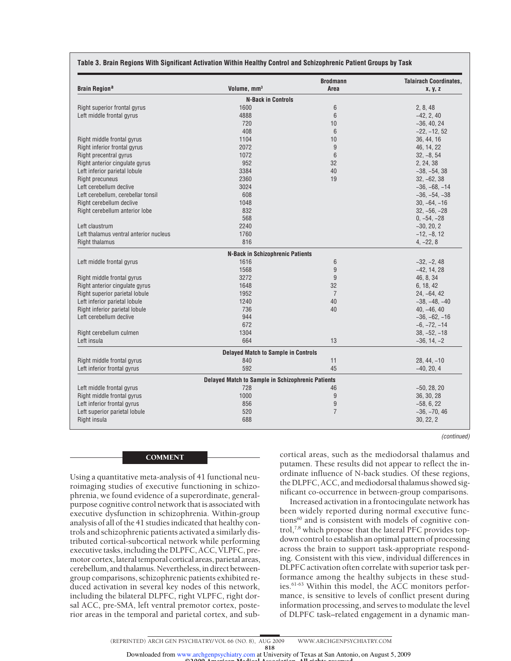| <b>Brain Region<sup>a</sup></b>        | Volume, mm <sup>3</sup>                           | <b>Brodmann</b><br>Area | <b>Talairach Coordinates,</b> |
|----------------------------------------|---------------------------------------------------|-------------------------|-------------------------------|
|                                        |                                                   |                         | x, y, z                       |
|                                        | <b>N-Back in Controls</b>                         |                         |                               |
| Right superior frontal gyrus           | 1600                                              | 6                       | 2, 8, 48                      |
| Left middle frontal gyrus              | 4888                                              | $6\phantom{1}$          | $-42, 2, 40$                  |
|                                        | 720                                               | 10                      | $-36, 40, 24$                 |
|                                        | 408                                               | $6\phantom{1}$          | $-22, -12, 52$                |
| Right middle frontal gyrus             | 1104                                              | 10                      | 36, 44, 16                    |
| Right inferior frontal gyrus           | 2072                                              | 9                       | 46, 14, 22                    |
| Right precentral gyrus                 | 1072                                              | $6\phantom{1}$          | $32, -8, 54$                  |
| Right anterior cingulate gyrus         | 952                                               | 32                      | 2, 24, 38                     |
| Left inferior parietal lobule          | 3384                                              | 40                      | $-38, -54, 38$                |
| <b>Right precuneus</b>                 | 2360                                              | 19                      | $32, -62, 38$                 |
| Left cerebellum declive                | 3024                                              |                         | $-36, -68, -14$               |
| Left cerebellum, cerebellar tonsil     | 608                                               |                         | $-36, -54, -38$               |
| Right cerebellum declive               | 1048                                              |                         | $30, -64, -16$                |
| Right cerebellum anterior lobe         | 832                                               |                         | $32, -56, -28$                |
|                                        | 568                                               |                         | $0, -54, -28$                 |
| Left claustrum                         | 2240                                              |                         | $-30, 20, 2$                  |
| Left thalamus ventral anterior nucleus | 1760                                              |                         | $-12, -8, 12$                 |
| <b>Right thalamus</b>                  | 816                                               |                         | $4, -22, 8$                   |
|                                        | <b>N-Back in Schizophrenic Patients</b>           |                         |                               |
| Left middle frontal gyrus              | 1616                                              | 6                       | $-32, -2, 48$                 |
|                                        | 1568                                              | $9\,$                   | $-42, 14, 28$                 |
| Right middle frontal gyrus             | 3272                                              | 9                       | 46, 8, 34                     |
| Right anterior cingulate gyrus         | 1648                                              | 32                      | 6, 18, 42                     |
| Right superior parietal lobule         | 1952                                              | $\overline{7}$          | $24, -64, 42$                 |
| Left inferior parietal lobule          | 1240                                              | 40                      | $-38, -48, -40$               |
| Right inferior parietal lobule         | 736                                               | 40                      | $40, -46, 40$                 |
| Left cerebellum declive                | 944                                               |                         | $-36, -62, -16$               |
|                                        | 672                                               |                         | $-6, -72, -14$                |
| Right cerebellum culmen                | 1304                                              |                         | $38, -52, -18$                |
| Left insula                            | 664                                               | 13                      | $-36, 14, -2$                 |
|                                        | <b>Delayed Match to Sample in Controls</b>        |                         |                               |
| Right middle frontal gyrus             | 840                                               | 11                      | $28, 44, -10$                 |
| Left inferior frontal gyrus            | 592                                               | 45                      | $-40, 20, 4$                  |
|                                        | Delayed Match to Sample in Schizophrenic Patients |                         |                               |
| Left middle frontal gyrus              | 728                                               | 46                      | $-50, 28, 20$                 |
| Right middle frontal gyrus             | 1000                                              | $9\,$                   | 36, 30, 28                    |
| Left inferior frontal gyrus            | 856                                               | $\boldsymbol{9}$        | $-58, 6, 22$                  |
| Left superior parietal lobule          | 520                                               | $\overline{7}$          | $-36, -70, 46$                |
| Right insula                           | 688                                               |                         | 30, 22, 2                     |

# **Table 3. Brain Regions With Significant Activation Within Healthy Control and Schizophrenic Patient Groups by Task**

#### COMMENT

Using a quantitative meta-analysis of 41 functional neuroimaging studies of executive functioning in schizophrenia, we found evidence of a superordinate, generalpurpose cognitive control network that is associated with executive dysfunction in schizophrenia. Within-group analysis of all of the 41 studies indicated that healthy controls and schizophrenic patients activated a similarly distributed cortical-subcortical network while performing executive tasks, including the DLPFC, ACC, VLPFC, premotor cortex, lateral temporal cortical areas, parietal areas, cerebellum, and thalamus. Nevertheless, in direct betweengroup comparisons, schizophrenic patients exhibited reduced activation in several key nodes of this network, including the bilateral DLPFC, right VLPFC, right dorsal ACC, pre-SMA, left ventral premotor cortex, posterior areas in the temporal and parietal cortex, and sub-

(continued)

cortical areas, such as the mediodorsal thalamus and putamen. These results did not appear to reflect the inordinate influence of N-back studies. Of these regions, the DLPFC, ACC, and mediodorsal thalamus showed significant co-occurrence in between-group comparisons.

Increased activation in a frontocingulate network has been widely reported during normal executive functions<sup>60</sup> and is consistent with models of cognitive control,7,8 which propose that the lateral PFC provides topdown control to establish an optimal pattern of processing across the brain to support task-appropriate responding. Consistent with this view, individual differences in DLPFC activation often correlate with superior task performance among the healthy subjects in these studies.61-63 Within this model, the ACC monitors performance, is sensitive to levels of conflict present during information processing, and serves to modulate the level of DLPFC task–related engagement in a dynamic man-

(REPRINTED) ARCH GEN PSYCHIATRY/ VOL 66 (NO. 8), AUG 2009 WWW.ARCHGENPSYCHIATRY.COM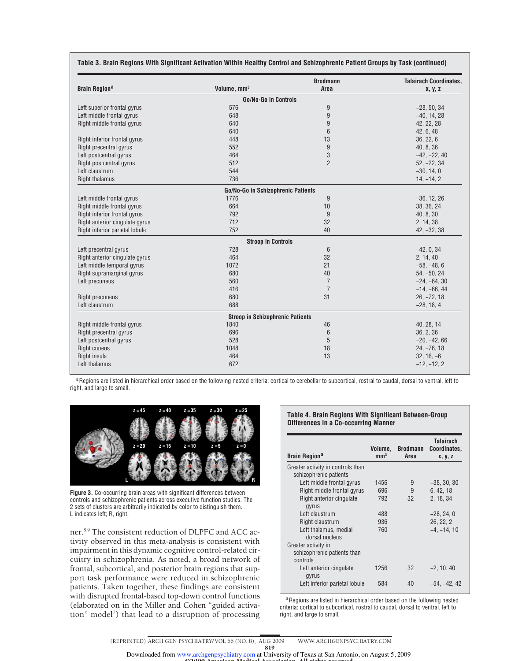| <b>Brain Region<sup>a</sup></b> | Volume, mm <sup>3</sup>                 | <b>Brodmann</b><br>Area | <b>Talairach Coordinates,</b><br>x, y, z |
|---------------------------------|-----------------------------------------|-------------------------|------------------------------------------|
|                                 | <b>Go/No-Go in Controls</b>             |                         |                                          |
| Left superior frontal gyrus     | 576                                     | 9                       | $-28, 50, 34$                            |
| Left middle frontal gyrus       | 648                                     | 9                       | $-40, 14, 28$                            |
| Right middle frontal gyrus      | 640                                     | 9                       | 42, 22, 28                               |
|                                 | 640                                     | 6                       | 42, 6, 48                                |
| Right inferior frontal gyrus    | 448                                     | 13                      | 36, 22, 6                                |
| Right precentral gyrus          | 552                                     | 9                       | 40, 8, 36                                |
| Left postcentral gyrus          | 464                                     | 3                       | $-42, -22, 40$                           |
| Right postcentral gyrus         | 512                                     | $\overline{2}$          | $52, -22, 34$                            |
| Left claustrum                  | 544                                     |                         | $-30, 14, 0$                             |
| <b>Right thalamus</b>           | 736                                     |                         | $14, -14, 2$                             |
|                                 | Go/No-Go in Schizophrenic Patients      |                         |                                          |
| Left middle frontal gyrus       | 1776                                    | 9                       | $-36, 12, 26$                            |
| Right middle frontal gyrus      | 664                                     | 10                      | 38, 36, 24                               |
| Right inferior frontal gyrus    | 792                                     | 9                       | 40, 8, 30                                |
| Right anterior cingulate gyrus  | 712                                     | 32                      | 2, 14, 38                                |
| Right inferior parietal lobule  | 752                                     | 40                      | $42, -32, 38$                            |
|                                 | <b>Stroop in Controls</b>               |                         |                                          |
| Left precentral gyrus           | 728                                     | $6\phantom{1}6$         | $-42, 0, 34$                             |
| Right anterior cingulate gyrus  | 464                                     | 32                      | 2, 14, 40                                |
| Left middle temporal gyrus      | 1072                                    | 21                      | $-58, -48, 6$                            |
| Right supramarginal gyrus       | 680                                     | 40                      | $54, -50, 24$                            |
| Left precuneus                  | 560                                     | $\overline{7}$          | $-24, -64, 30$                           |
|                                 | 416                                     | $\overline{7}$          | $-14, -66, 44$                           |
| <b>Right precuneus</b>          | 680                                     | 31                      | $26, -72, 18$                            |
| Left claustrum                  | 688                                     |                         | $-28, 18, 4$                             |
|                                 | <b>Stroop in Schizophrenic Patients</b> |                         |                                          |
| Right middle frontal gyrus      | 1840                                    | 46                      | 40, 28, 14                               |
| Right precentral gyrus          | 696                                     | 6                       | 36, 2, 36                                |
| Left postcentral gyrus          | 528                                     | 5                       | $-20, -42, 66$                           |
| <b>Right cuneus</b>             | 1048                                    | 18                      | $24, -76, 18$                            |
| Right insula                    | 464                                     | 13                      | $32, 16, -6$                             |
| Left thalamus                   | 672                                     |                         | $-12, -12, 2$                            |

## **Table 3. Brain Regions With Significant Activation Within Healthy Control and Schizophrenic Patient Groups by Task (continued)**

aRegions are listed in hierarchical order based on the following nested criteria: cortical to cerebellar to subcortical, rostral to caudal, dorsal to ventral, left to right, and large to small.



**Figure 3.** Co-occurring brain areas with significant differences between controls and schizophrenic patients across executive function studies. The 2 sets of clusters are arbitrarily indicated by color to distinguish them. L indicates left; R, right.

ner.8,9 The consistent reduction of DLPFC and ACC activity observed in this meta-analysis is consistent with impairment in this dynamic cognitive control-related circuitry in schizophrenia. As noted, a broad network of frontal, subcortical, and posterior brain regions that support task performance were reduced in schizophrenic patients. Taken together, these findings are consistent with disrupted frontal-based top-down control functions (elaborated on in the Miller and Cohen "guided activation" model<sup>7</sup>) that lead to a disruption of processing

## **Table 4. Brain Regions With Significant Between-Group Differences in a Co-occurring Manner**

| <b>Brain Region<sup>a</sup></b>                                | Volume.<br>mm <sup>3</sup> | <b>Brodmann</b><br>Area | <b>Talairach</b><br>Coordinates,<br>x, y, z |
|----------------------------------------------------------------|----------------------------|-------------------------|---------------------------------------------|
| Greater activity in controls than                              |                            |                         |                                             |
| schizophrenic patients                                         |                            |                         |                                             |
| Left middle frontal gyrus                                      | 1456                       | 9                       | $-38, 30, 30$                               |
| Right middle frontal gyrus                                     | 696                        | 9                       | 6, 42, 18                                   |
| Right anterior cingulate<br>gyrus                              | 792                        | 32                      | 2, 18, 34                                   |
| Left claustrum                                                 | 488                        |                         | $-28, 24, 0$                                |
| Right claustrum                                                | 936                        |                         | 26, 22, 2                                   |
| Left thalamus, medial<br>dorsal nucleus                        | 760                        |                         | $-4. -14. 10$                               |
| Greater activity in<br>schizophrenic patients than<br>controls |                            |                         |                                             |
| Left anterior cingulate<br>gyrus                               | 1256                       | 32                      | $-2.10.40$                                  |
| Left inferior parietal lobule                                  | 584                        | 40                      | -54. -42. 42                                |

a Regions are listed in hierarchical order based on the following nested criteria: cortical to subcortical, rostral to caudal, dorsal to ventral, left to right, and large to small.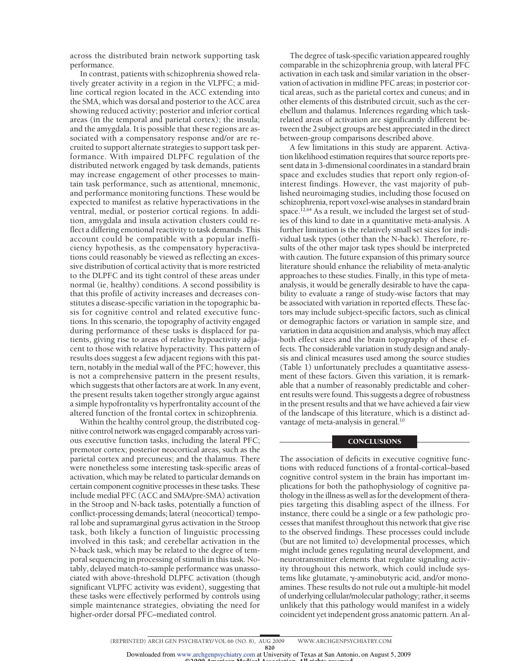across the distributed brain network supporting task performance.

In contrast, patients with schizophrenia showed relatively greater activity in a region in the VLPFC; a midline cortical region located in the ACC extending into the SMA, which was dorsal and posterior to the ACC area showing reduced activity; posterior and inferior cortical areas (in the temporal and parietal cortex); the insula; and the amygdala. It is possible that these regions are associated with a compensatory response and/or are recruited to support alternate strategies to support task performance. With impaired DLPFC regulation of the distributed network engaged by task demands, patients may increase engagement of other processes to maintain task performance, such as attentional, mnemonic, and performance monitoring functions. These would be expected to manifest as relative hyperactivations in the ventral, medial, or posterior cortical regions. In addition, amygdala and insula activation clusters could reflect a differing emotional reactivity to task demands. This account could be compatible with a popular inefficiency hypothesis, as the compensatory hyperactivations could reasonably be viewed as reflecting an excessive distribution of cortical activity that is more restricted to the DLPFC and its tight control of these areas under normal (ie, healthy) conditions. A second possibility is that this profile of activity increases and decreases constitutes a disease-specific variation in the topographic basis for cognitive control and related executive functions. In this scenario, the topography of activity engaged during performance of these tasks is displaced for patients, giving rise to areas of relative hypoactivity adjacent to those with relative hyperactivity. This pattern of results does suggest a few adjacent regions with this pattern, notably in the medial wall of the PFC; however, this is not a comprehensive pattern in the present results, which suggests that other factors are at work. In any event, the present results taken together strongly argue against a simple hypofrontality vs hyperfrontality account of the altered function of the frontal cortex in schizophrenia.

Within the healthy control group, the distributed cognitive control network was engaged comparably across various executive function tasks, including the lateral PFC; premotor cortex; posterior neocortical areas, such as the parietal cortex and precuneus; and the thalamus. There were nonetheless some interesting task-specific areas of activation, which may be related to particular demands on certain component cognitive processes in these tasks. These include medial PFC (ACC and SMA/pre-SMA) activation in the Stroop and N-back tasks, potentially a function of conflict-processing demands; lateral (neocortical) temporal lobe and supramarginal gyrus activation in the Stroop task, both likely a function of linguistic processing involved in this task; and cerebellar activation in the N-back task, which may be related to the degree of temporal sequencing in processing of stimuli in this task. Notably, delayed match-to-sample performance was unassociated with above-threshold DLPFC activation (though significant VLPFC activity was evident), suggesting that these tasks were effectively performed by controls using simple maintenance strategies, obviating the need for higher-order dorsal PFC–mediated control.

The degree of task-specific variation appeared roughly comparable in the schizophrenia group, with lateral PFC activation in each task and similar variation in the observation of activation in midline PFC areas; in posterior cortical areas, such as the parietal cortex and cuneus; and in other elements of this distributed circuit, such as the cerebellum and thalamus. Inferences regarding which taskrelated areas of activation are significantly different between the 2 subject groups are best appreciated in the direct between-group comparisons described above.

A few limitations in this study are apparent. Activation likelihood estimation requires that source reports present data in 3-dimensional coordinates in a standard brain space and excludes studies that report only region-ofinterest findings. However, the vast majority of published neuroimaging studies, including those focused on schizophrenia, report voxel-wise analyses in standard brain space.<sup>12,64</sup> As a result, we included the largest set of studies of this kind to date in a quantitative meta-analysis. A further limitation is the relatively small set sizes for individual task types (other than the N-back). Therefore, results of the other major task types should be interpreted with caution. The future expansion of this primary source literature should enhance the reliability of meta-analytic approaches to these studies. Finally, in this type of metaanalysis, it would be generally desirable to have the capability to evaluate a range of study-wise factors that may be associated with variation in reported effects. These factors may include subject-specific factors, such as clinical or demographic factors or variation in sample size, and variation in data acquisition and analysis, which may affect both effect sizes and the brain topography of these effects. The considerable variation in study design and analysis and clinical measures used among the source studies (Table 1) unfortunately precludes a quantitative assessment of these factors. Given this variation, it is remarkable that a number of reasonably predictable and coherent results were found. This suggests a degree of robustness in the present results and that we have achieved a fair view of the landscape of this literature, which is a distinct advantage of meta-analysis in general.<sup>10</sup>

## **CONCLUSIONS**

The association of deficits in executive cognitive functions with reduced functions of a frontal-cortical–based cognitive control system in the brain has important implications for both the pathophysiology of cognitive pathology in the illness as well as for the development of therapies targeting this disabling aspect of the illness. For instance, there could be a single or a few pathologic processes that manifest throughout this network that give rise to the observed findings. These processes could include (but are not limited to) developmental processes, which might include genes regulating neural development, and neurotransmitter elements that regulate signaling activity throughout this network, which could include systems like glutamate,  $\gamma$ -aminobutyric acid, and/or monoamines. These results do not rule out a multiple-hit model of underlying cellular/molecular pathology; rather, it seems unlikely that this pathology would manifest in a widely coincident yet independent gross anatomic pattern. An al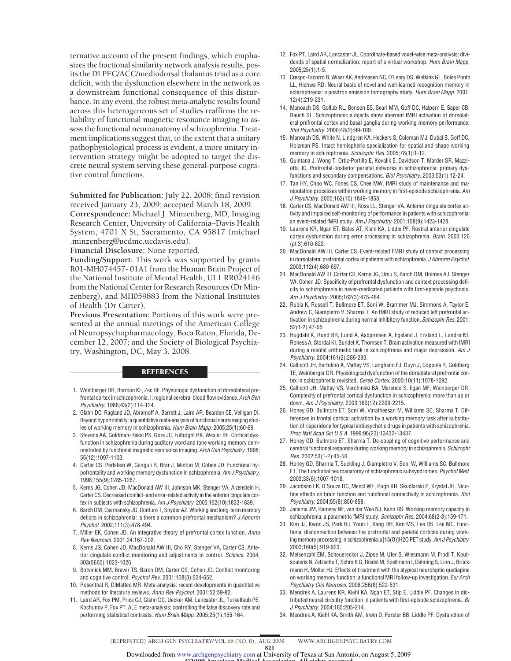ternative account of the present findings, which emphasizes the fractional similarity network analysis results, posits the DLPFC/ACC/mediodorsal thalamus triad as a core deficit, with the dysfunction elsewhere in the network as a downstream functional consequence of this disturbance. In any event, the robust meta-analytic results found across this heterogeneous set of studies reaffirms the reliability of functional magnetic resonance imaging to assess the functional neuroanatomy of schizophrenia. Treatment implications suggest that, to the extent that a unitary pathophysiological process is evident, a more unitary intervention strategy might be adopted to target the discrete neural system serving these general-purpose cognitive control functions.

**Submitted for Publication:** July 22, 2008; final revision received January 23, 2009; accepted March 18, 2009. **Correspondence:** Michael J. Minzenberg, MD, Imaging Research Center, University of California–Davis Health System, 4701 X St, Sacramento, CA 95817 (michael .minzenberg@ucdmc.ucdavis.edu).

**Financial Disclosure:** None reported.

**Funding/Support:** This work was supported by grants R01-MH074457- 01A1 from the Human Brain Project of the National Institute of Mental Health, UL1 RR024146 from the National Center for Research Resources (Dr Minzenberg), and MH059883 from the National Institutes of Health (Dr Carter).

**Previous Presentation:** Portions of this work were presented at the annual meetings of the American College of Neuropsychopharmacology, Boca Raton, Florida, December 12, 2007; and the Society of Biological Psychiatry, Washington, DC, May 3, 2008.

#### **REFERENCES**

- 1. Weinberger DR, Berman KF, Zec RF. Physiologic dysfunction of dorsolateral prefrontal cortex in schizophrenia, I: regional cerebral blood flow evidence. Arch Gen Psychiatry. 1986;43(2):114-124.
- 2. Glahn DC, Ragland JD, Abramoff A, Barrett J, Laird AR, Bearden CE, Velligan DI. Beyond hypofrontality: a quantitative meta-analysis of functional neuroimaging studies of working memory in schizophrenia. Hum Brain Mapp. 2005;25(1):60-69.
- 3. Stevens AA, Goldman-Rakic PS, Gore JC, Fulbright RK, Wexler BE. Cortical dysfunction in schizophrenia during auditory word and tone working memory demonstrated by functional magnetic resonance imaging. Arch Gen Psychiatry. 1998; 55(12):1097-1103.
- 4. Carter CS, Perlstein W, Ganguli R, Brar J, Mintun M, Cohen JD. Functional hypofrontality and working memory dysfunction in schizophrenia. Am J Psychiatry. 1998;155(9):1285-1287.
- 5. Kerns JG, Cohen JD, MacDonald AW III, Johnson MK, Stenger VA, Aizenstein H, Carter CS. Decreased conflict- and error-related activity in the anterior cingulate cortex in subjects with schizophrenia. Am J Psychiatry. 2005;162(10):1833-1839.
- 6. Barch DM, Csernansky JG, Conturo T, Snyder AZ. Working and long-term memory deficits in schizophrenia: is there a common prefrontal mechanism? J Abnorm Psychol. 2002;111(3):478-494.
- 7. Miller EK, Cohen JD. An integrative theory of prefrontal cortex function. Annu Rev Neurosci. 2001;24:167-202.
- 8. Kerns JG, Cohen JD, MacDonald AW III, Cho RY, Stenger VA, Carter CS. Anterior cingulate conflict monitoring and adjustments in control. Science. 2004; 303(5660):1023-1026.
- 9. Botvinick MM, Braver TS, Barch DM, Carter CS, Cohen JD. Conflict monitoring and cognitive control. Psychol Rev. 2001;108(3):624-652.
- 10. Rosenthal R, DiMatteo MR. Meta-analysis: recent developments in quantitative methods for literature reviews. Annu Rev Psychol. 2001;52:59-82.
- 11. Laird AR, Fox PM, Price CJ, Glahn DC, Uecker AM, Lancaster JL, Turkeltaub PE, Kochunov P, Fox PT. ALE meta-analysis: controlling the false discovery rate and performing statistical contrasts. Hum Brain Mapp. 2005;25(1):155-164.
- 12. Fox PT, Laird AR, Lancaster JL. Coordinate-based voxel-wise meta-analysis: dividends of spatial normalization: report of a virtual workshop. Hum Brain Mapp. 2005;25(1):1-5.
- 13. Crespo-Facorro B, Wiser AK, Andreasen NC, O'Leary DS, Watkins GL, Boles Ponto LL, Hichwa RD. Neural basis of novel and well-learned recognition memory in schizophrenia: a positron emission tomography study. Hum Brain Mapp. 2001; 12(4):219-231.
- 14. Manoach DS, Gollub RL, Benson ES, Searl MM, Goff DC, Halpern E, Saper CB, Rauch SL. Schizophrenic subjects show aberrant fMRI activation of dorsolateral prefrontal cortex and basal ganglia during working memory performance. Biol Psychiatry. 2000;48(2):99-109.
- 15. Manoach DS, White N, Lindgren KA, Heckers S, Coleman MJ, Dubal S, Goff DC, Holzman PS. Intact hemispheric specialization for spatial and shape working memory in schizophrenia. Schizophr Res. 2005;78(1):1-12.
- 16. Quintana J, Wong T, Ortiz-Portillo E, Kovalik E, Davidson T, Marder SR, Mazziotta JC. Prefrontal-posterior parietal networks in schizophrenia: primary dysfunctions and secondary compensations. Biol Psychiatry. 2003;53(1):12-24.
- 17. Tan HY, Choo WC, Fones CS, Chee MW. fMRI study of maintenance and manipulation processes within working memory in first-episode schizophrenia. Am J Psychiatry. 2005;162(10):1849-1858.
- 18. Carter CS, MacDonald AW III, Ross LL, Stenger VA. Anterior cingulate cortex activity and impaired self-monitoring of performance in patients with schizophrenia: an event-related fMRI study. Am J Psychiatry. 2001;158(9):1423-1428.
- 19. Laurens KR, Ngan ET, Bates AT, Kiehl KA, Liddle PF. Rostral anterior cingulate cortex dysfunction during error processing in schizophrenia. Brain. 2003;126 (pt 3):610-622.
- 20. MacDonald AW III, Carter CS. Event-related FMRI study of context processing in dorsolateral prefrontal cortex of patients with schizophrenia. J Abnorm Psychol. 2003;112(4):689-697.
- 21. MacDonald AW III, Carter CS, Kerns JG, Ursu S, Barch DM, Holmes AJ, Stenger VA, Cohen JD. Specificity of prefrontal dysfunction and context processing deficits to schizophrenia in never-medicated patients with first-episode psychosis. Am J Psychiatry. 2005;162(3):475-484.
- 22. Rubia K, Russell T, Bullmore ET, Soni W, Brammer MJ, Simmons A, Taylor E, Andrew C, Giampietro V, Sharma T. An fMRI study of reduced left prefrontal activation in schizophrenia during normal inhibitory function. Schizophr Res. 2001; 52(1-2):47-55.
- 23. Hugdahl K, Rund BR, Lund A, Asbjornsen A, Egeland J, Ersland L, Landrø NI, Roness A, Stordal KI, Sundet K, Thomsen T. Brain activation measured with fMRI during a mental arithmetic task in schizophrenia and major depression. Am J Psychiatry. 2004;161(2):286-293.
- 24. Callicott JH, Bertolino A, Mattay VS, Langheim FJ, Duyn J, Coppola R, Goldberg TE, Weinberger DR. Physiological dysfunction of the dorsolateral prefrontal cortex in schizophrenia revisited. Cereb Cortex. 2000;10(11):1078-1092.
- 25. Callicott JH, Mattay VS, Verchinski BA, Marenco S, Egan MF, Weinberger DR. Complexity of prefrontal cortical dysfunction in schizophrenia: more than up or down. Am J Psychiatry. 2003;160(12):2209-2215.
- 26. Honey GD, Bullmore ET, Soni W, Varatheesan M, Williams SC, Sharma T. Differences in frontal cortical activation by a working memory task after substitution of risperidone for typical antipsychotic drugs in patients with schizophrenia. Proc Natl Acad Sci U S A. 1999;96(23):13432-13437.
- 27. Honey GD, Bullmore ET, Sharma T. De-coupling of cognitive performance and cerebral functional response during working memory in schizophrenia. Schizophr Res. 2002;53(1-2):45-56.
- 28. Honey GD, Sharma T, Suckling J, Giampietro V, Soni W, Williams SC, Bullmore ET. The functional neuroanatomy of schizophrenic subsyndromes. Psychol Med. 2003;33(6):1007-1018.
- 29. Jacobsen LK, D'Souza DC, Mencl WE, Pugh KR, Skudlarski P, Krystal JH. Nicotine effects on brain function and functional connectivity in schizophrenia. Biol Psychiatry. 2004;55(8):850-858.
- 30. Jansma JM, Ramsey NF, van der Wee NJ, Kahn RS. Working memory capacity in schizophrenia: a parametric fMRI study. Schizophr Res. 2004;68(2-3):159-171.
- 31. Kim JJ, Kwon JS, Park HJ, Youn T, Kang DH, Kim MS, Lee DS, Lee MC. Functional disconnection between the prefrontal and parietal cortices during working memory processing in schizophrenia: a[15(0)]H2O PET study. Am J Psychiatry. 2003;160(5):919-923.
- 32. Meisenzahl EM, Scheuerecker J, Zipse M, Ufer S, Wiesmann M, Frodl T, Koutsouleris N, Zetzsche T, Schmitt G, Riedel M, Spellmann I, Dehning S, Linn J, Brückmann H, Möller HJ. Effects of treatment with the atypical neuroleptic quetiapine on working memory function: a functional MRI follow-up investigation. Eur Arch Psychiatry Clin Neurosci. 2006;256(8):522-531.
- 33. Mendrek A, Laurens KR, Kiehl KA, Ngan ET, Stip E, Liddle PF. Changes in distributed neural circuitry function in patients with first-episode schizophrenia. Br J Psychiatry. 2004;185:205-214.
- 34. Mendrek A, Kiehl KA, Smith AM, Irwin D, Forster BB, Liddle PF. Dysfunction of